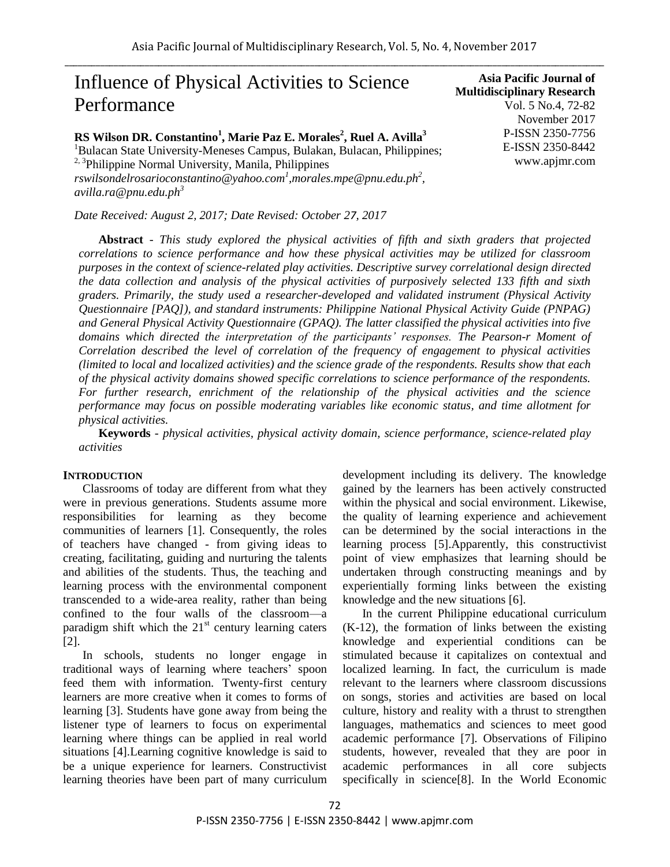# Influence of Physical Activities to Science Performance

**RS Wilson DR. Constantino<sup>1</sup> , Marie Paz E. Morales<sup>2</sup> , Ruel A. Avilla<sup>3</sup>**

<sup>1</sup>Bulacan State University-Meneses Campus, Bulakan, Bulacan, Philippines;  $2,3$ Philippine Normal University, Manila, Philippines *rswilsondelrosarioconstantino@yahoo.com<sup>1</sup> ,morales.mpe@pnu.edu.ph<sup>2</sup> , avilla.ra@pnu.edu.ph<sup>3</sup>*

*Date Received: August 2, 2017; Date Revised: October 27, 2017*

**Abstract** - *This study explored the physical activities of fifth and sixth graders that projected correlations to science performance and how these physical activities may be utilized for classroom purposes in the context of science-related play activities. Descriptive survey correlational design directed the data collection and analysis of the physical activities of purposively selected 133 fifth and sixth graders. Primarily, the study used a researcher-developed and validated instrument (Physical Activity Questionnaire [PAQ]), and standard instruments: Philippine National Physical Activity Guide (PNPAG) and General Physical Activity Questionnaire (GPAQ). The latter classified the physical activities into five domains which directed the interpretation of the participants" responses. The Pearson-r Moment of Correlation described the level of correlation of the frequency of engagement to physical activities (limited to local and localized activities) and the science grade of the respondents. Results show that each of the physical activity domains showed specific correlations to science performance of the respondents. For further research, enrichment of the relationship of the physical activities and the science performance may focus on possible moderating variables like economic status, and time allotment for physical activities.*

**Keywords** *- physical activities, physical activity domain, science performance, science-related play activities*

#### **INTRODUCTION**

Classrooms of today are different from what they were in previous generations. Students assume more responsibilities for learning as they become communities of learners [1]. Consequently, the roles of teachers have changed - from giving ideas to creating, facilitating, guiding and nurturing the talents and abilities of the students. Thus, the teaching and learning process with the environmental component transcended to a wide-area reality, rather than being confined to the four walls of the classroom—a paradigm shift which the  $21<sup>st</sup>$  century learning caters [2].

In schools, students no longer engage in traditional ways of learning where teachers' spoon feed them with information. Twenty-first century learners are more creative when it comes to forms of learning [3]. Students have gone away from being the listener type of learners to focus on experimental learning where things can be applied in real world situations [4].Learning cognitive knowledge is said to be a unique experience for learners. Constructivist learning theories have been part of many curriculum development including its delivery. The knowledge gained by the learners has been actively constructed within the physical and social environment. Likewise, the quality of learning experience and achievement can be determined by the social interactions in the learning process [5].Apparently, this constructivist point of view emphasizes that learning should be undertaken through constructing meanings and by experientially forming links between the existing knowledge and the new situations [6].

In the current Philippine educational curriculum (K-12), the formation of links between the existing knowledge and experiential conditions can be stimulated because it capitalizes on contextual and localized learning. In fact, the curriculum is made relevant to the learners where classroom discussions on songs, stories and activities are based on local culture, history and reality with a thrust to strengthen languages, mathematics and sciences to meet good academic performance [7]. Observations of Filipino students, however, revealed that they are poor in academic performances in all core subjects specifically in science[8]. In the World Economic

**Multidisciplinary Research** Vol. 5 No.4, 72-82 November 2017 P-ISSN 2350-7756 E-ISSN 2350-8442 www.apjmr.com

**Asia Pacific Journal of**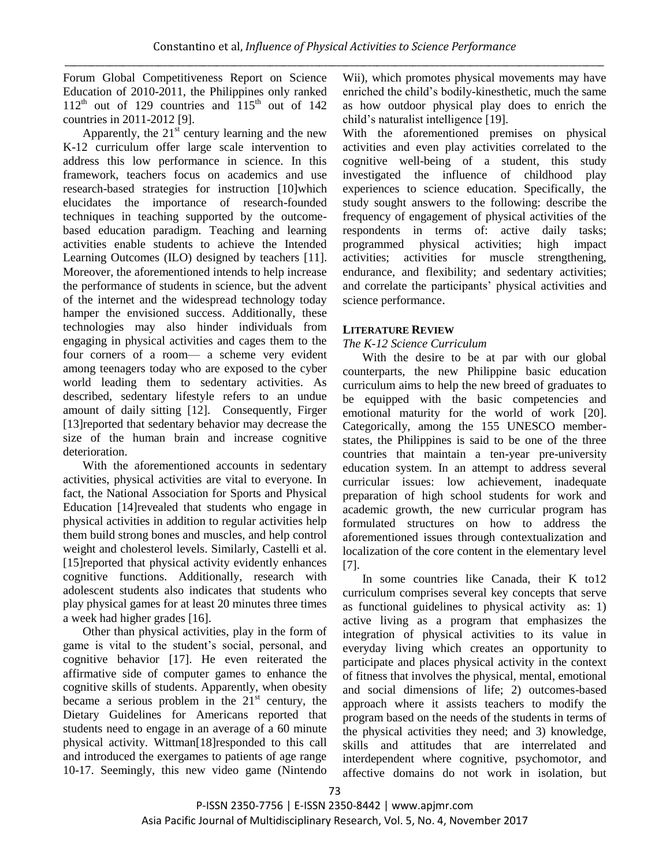Forum Global Competitiveness Report on Science Education of 2010-2011, the Philippines only ranked  $112<sup>th</sup>$  out of 129 countries and  $115<sup>th</sup>$  out of 142 countries in 2011-2012 [9].

Apparently, the  $21<sup>st</sup>$  century learning and the new K-12 curriculum offer large scale intervention to address this low performance in science. In this framework, teachers focus on academics and use research-based strategies for instruction [10]which elucidates the importance of research-founded techniques in teaching supported by the outcomebased education paradigm. Teaching and learning activities enable students to achieve the Intended Learning Outcomes (ILO) designed by teachers [11]. Moreover, the aforementioned intends to help increase the performance of students in science, but the advent of the internet and the widespread technology today hamper the envisioned success. Additionally, these technologies may also hinder individuals from engaging in physical activities and cages them to the four corners of a room— a scheme very evident among teenagers today who are exposed to the cyber world leading them to sedentary activities. As described, sedentary lifestyle refers to an undue amount of daily sitting [12]. Consequently, Firger [13] reported that sedentary behavior may decrease the size of the human brain and increase cognitive deterioration.

With the aforementioned accounts in sedentary activities, physical activities are vital to everyone. In fact, the National Association for Sports and Physical Education [14]revealed that students who engage in physical activities in addition to regular activities help them build strong bones and muscles, and help control weight and cholesterol levels. Similarly, Castelli et al. [15] reported that physical activity evidently enhances cognitive functions. Additionally, research with adolescent students also indicates that students who play physical games for at least 20 minutes three times a week had higher grades [16].

Other than physical activities, play in the form of game is vital to the student's social, personal, and cognitive behavior [17]. He even reiterated the affirmative side of computer games to enhance the cognitive skills of students. Apparently, when obesity became a serious problem in the  $21<sup>st</sup>$  century, the Dietary Guidelines for Americans reported that students need to engage in an average of a 60 minute physical activity. Wittman[18]responded to this call and introduced the exergames to patients of age range 10-17. Seemingly, this new video game (Nintendo

Wii), which promotes physical movements may have enriched the child's bodily-kinesthetic, much the same as how outdoor physical play does to enrich the child's naturalist intelligence [19].

With the aforementioned premises on physical activities and even play activities correlated to the cognitive well-being of a student, this study investigated the influence of childhood play experiences to science education. Specifically, the study sought answers to the following: describe the frequency of engagement of physical activities of the respondents in terms of: active daily tasks; programmed physical activities; high impact activities; activities for muscle strengthening, endurance, and flexibility; and sedentary activities; and correlate the participants' physical activities and science performance.

#### **LITERATURE REVIEW**

#### *The K-12 Science Curriculum*

With the desire to be at par with our global counterparts, the new Philippine basic education curriculum aims to help the new breed of graduates to be equipped with the basic competencies and emotional maturity for the world of work [20]. Categorically, among the 155 UNESCO memberstates, the Philippines is said to be one of the three countries that maintain a ten-year pre-university education system. In an attempt to address several curricular issues: low achievement, inadequate preparation of high school students for work and academic growth, the new curricular program has formulated structures on how to address the aforementioned issues through contextualization and localization of the core content in the elementary level [7].

In some countries like Canada, their K to12 curriculum comprises several key concepts that serve as functional guidelines to physical activity as: 1) active living as a program that emphasizes the integration of physical activities to its value in everyday living which creates an opportunity to participate and places physical activity in the context of fitness that involves the physical, mental, emotional and social dimensions of life; 2) outcomes-based approach where it assists teachers to modify the program based on the needs of the students in terms of the physical activities they need; and 3) knowledge, skills and attitudes that are interrelated and interdependent where cognitive, psychomotor, and affective domains do not work in isolation, but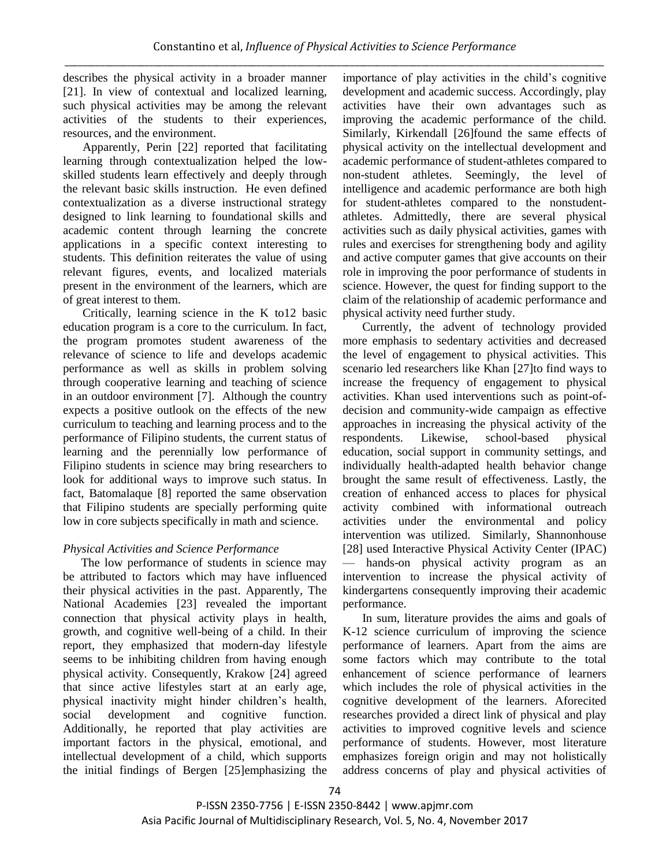describes the physical activity in a broader manner [21]. In view of contextual and localized learning, such physical activities may be among the relevant activities of the students to their experiences, resources, and the environment.

Apparently, Perin [22] reported that facilitating learning through contextualization helped the lowskilled students learn effectively and deeply through the relevant basic skills instruction. He even defined contextualization as a diverse instructional strategy designed to link learning to foundational skills and academic content through learning the concrete applications in a specific context interesting to students. This definition reiterates the value of using relevant figures, events, and localized materials present in the environment of the learners, which are of great interest to them.

Critically, learning science in the K to12 basic education program is a core to the curriculum. In fact, the program promotes student awareness of the relevance of science to life and develops academic performance as well as skills in problem solving through cooperative learning and teaching of science in an outdoor environment [7]. Although the country expects a positive outlook on the effects of the new curriculum to teaching and learning process and to the performance of Filipino students, the current status of learning and the perennially low performance of Filipino students in science may bring researchers to look for additional ways to improve such status. In fact, Batomalaque [8] reported the same observation that Filipino students are specially performing quite low in core subjects specifically in math and science.

# *Physical Activities and Science Performance*

 The low performance of students in science may be attributed to factors which may have influenced their physical activities in the past. Apparently, The National Academies [23] revealed the important connection that physical activity plays in health, growth, and cognitive well-being of a child. In their report, they emphasized that modern-day lifestyle seems to be inhibiting children from having enough physical activity. Consequently, Krakow [24] agreed that since active lifestyles start at an early age, physical inactivity might hinder children's health, social development and cognitive function. Additionally, he reported that play activities are important factors in the physical, emotional, and intellectual development of a child, which supports the initial findings of Bergen [25]emphasizing the

importance of play activities in the child's cognitive development and academic success. Accordingly, play activities have their own advantages such as improving the academic performance of the child. Similarly, Kirkendall [26]found the same effects of physical activity on the intellectual development and academic performance of student-athletes compared to non-student athletes. Seemingly, the level of intelligence and academic performance are both high for student-athletes compared to the nonstudentathletes. Admittedly, there are several physical activities such as daily physical activities, games with rules and exercises for strengthening body and agility and active computer games that give accounts on their role in improving the poor performance of students in science. However, the quest for finding support to the claim of the relationship of academic performance and physical activity need further study.

Currently, the advent of technology provided more emphasis to sedentary activities and decreased the level of engagement to physical activities. This scenario led researchers like Khan [27]to find ways to increase the frequency of engagement to physical activities. Khan used interventions such as point-ofdecision and community-wide campaign as effective approaches in increasing the physical activity of the respondents. Likewise, school-based physical education, social support in community settings, and individually health-adapted health behavior change brought the same result of effectiveness. Lastly, the creation of enhanced access to places for physical activity combined with informational outreach activities under the environmental and policy intervention was utilized. Similarly, Shannonhouse [28] used Interactive Physical Activity Center (IPAC) hands-on physical activity program as an intervention to increase the physical activity of kindergartens consequently improving their academic performance.

In sum, literature provides the aims and goals of K-12 science curriculum of improving the science performance of learners. Apart from the aims are some factors which may contribute to the total enhancement of science performance of learners which includes the role of physical activities in the cognitive development of the learners. Aforecited researches provided a direct link of physical and play activities to improved cognitive levels and science performance of students. However, most literature emphasizes foreign origin and may not holistically address concerns of play and physical activities of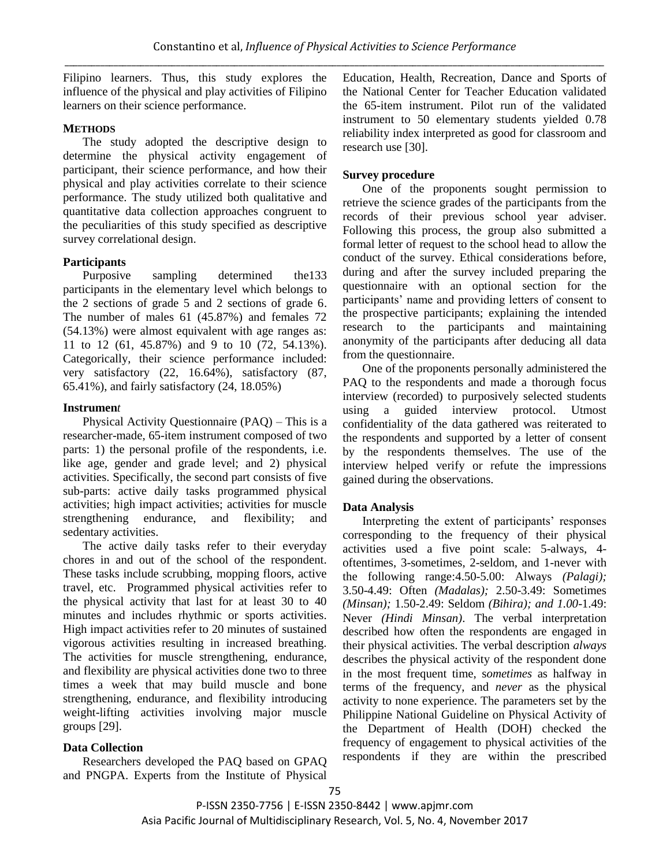Filipino learners. Thus, this study explores the influence of the physical and play activities of Filipino learners on their science performance.

#### **METHODS**

The study adopted the descriptive design to determine the physical activity engagement of participant, their science performance, and how their physical and play activities correlate to their science performance. The study utilized both qualitative and quantitative data collection approaches congruent to the peculiarities of this study specified as descriptive survey correlational design.

# **Participants**

Purposive sampling determined the133 participants in the elementary level which belongs to the 2 sections of grade 5 and 2 sections of grade 6. The number of males 61 (45.87%) and females 72 (54.13%) were almost equivalent with age ranges as: 11 to 12 (61, 45.87%) and 9 to 10 (72, 54.13%). Categorically, their science performance included: very satisfactory (22, 16.64%), satisfactory (87, 65.41%), and fairly satisfactory (24, 18.05%)

#### **Instrumen***t*

Physical Activity Questionnaire (PAQ) – This is a researcher-made, 65-item instrument composed of two parts: 1) the personal profile of the respondents, i.e. like age, gender and grade level; and 2) physical activities. Specifically, the second part consists of five sub-parts: active daily tasks programmed physical activities; high impact activities; activities for muscle strengthening endurance, and flexibility; and sedentary activities.

The active daily tasks refer to their everyday chores in and out of the school of the respondent. These tasks include scrubbing, mopping floors, active travel, etc. Programmed physical activities refer to the physical activity that last for at least 30 to 40 minutes and includes rhythmic or sports activities. High impact activities refer to 20 minutes of sustained vigorous activities resulting in increased breathing. The activities for muscle strengthening, endurance, and flexibility are physical activities done two to three times a week that may build muscle and bone strengthening, endurance, and flexibility introducing weight-lifting activities involving major muscle groups [29].

# **Data Collection**

Researchers developed the PAQ based on GPAQ and PNGPA. Experts from the Institute of Physical Education, Health, Recreation, Dance and Sports of the National Center for Teacher Education validated the 65-item instrument. Pilot run of the validated instrument to 50 elementary students yielded 0.78 reliability index interpreted as good for classroom and research use [30].

# **Survey procedure**

One of the proponents sought permission to retrieve the science grades of the participants from the records of their previous school year adviser. Following this process, the group also submitted a formal letter of request to the school head to allow the conduct of the survey. Ethical considerations before, during and after the survey included preparing the questionnaire with an optional section for the participants' name and providing letters of consent to the prospective participants; explaining the intended research to the participants and maintaining anonymity of the participants after deducing all data from the questionnaire.

One of the proponents personally administered the PAQ to the respondents and made a thorough focus interview (recorded) to purposively selected students using a guided interview protocol. Utmost confidentiality of the data gathered was reiterated to the respondents and supported by a letter of consent by the respondents themselves. The use of the interview helped verify or refute the impressions gained during the observations.

# **Data Analysis**

Interpreting the extent of participants' responses corresponding to the frequency of their physical activities used a five point scale: 5-always, 4 oftentimes, 3-sometimes, 2-seldom, and 1-never with the following range:4.50-5.00: Always *(Palagi);*  3.50-4.49: Often *(Madalas);* 2.50-3.49: Sometimes *(Minsan);* 1.50-2.49: Seldom *(Bihira); and 1.00*-1.49: Never *(Hindi Minsan)*. The verbal interpretation described how often the respondents are engaged in their physical activities. The verbal description *always* describes the physical activity of the respondent done in the most frequent time, s*ometimes* as halfway in terms of the frequency, and *never* as the physical activity to none experience. The parameters set by the Philippine National Guideline on Physical Activity of the Department of Health (DOH) checked the frequency of engagement to physical activities of the respondents if they are within the prescribed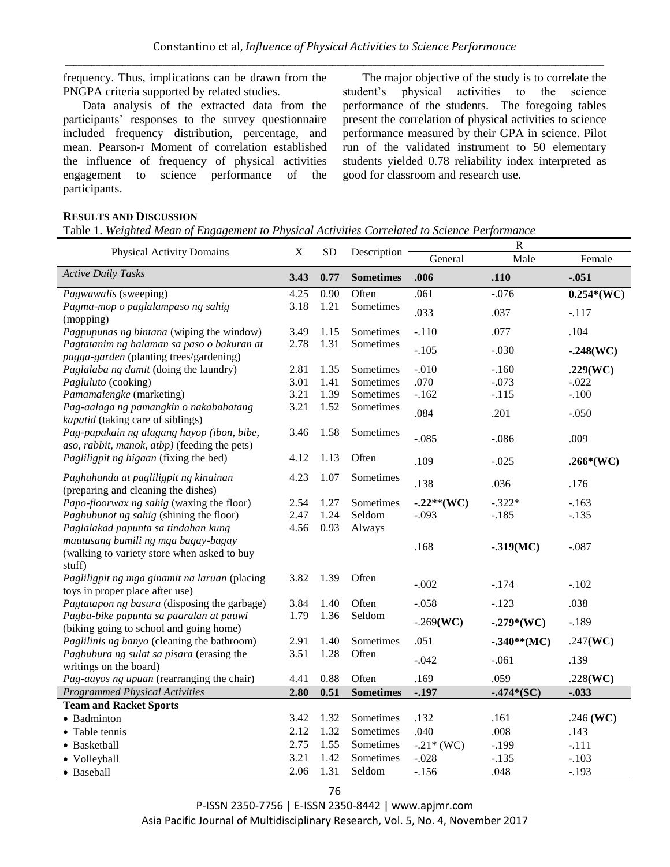frequency. Thus, implications can be drawn from the PNGPA criteria supported by related studies.

Data analysis of the extracted data from the participants' responses to the survey questionnaire included frequency distribution, percentage, and mean. Pearson-r Moment of correlation established the influence of frequency of physical activities engagement to science performance of the participants.

The major objective of the study is to correlate the student's physical activities to the science performance of the students. The foregoing tables present the correlation of physical activities to science performance measured by their GPA in science. Pilot run of the validated instrument to 50 elementary students yielded 0.78 reliability index interpreted as good for classroom and research use.

#### **RESULTS AND DISCUSSION**

Table 1. *Weighted Mean of Engagement to Physical Activities Correlated to Science Performance*

| <b>Physical Activity Domains</b>                                             | $\mathbf X$ | <b>SD</b> | Description      | $\mathbf R$  |                |              |  |
|------------------------------------------------------------------------------|-------------|-----------|------------------|--------------|----------------|--------------|--|
|                                                                              |             |           |                  | General      | Male           | Female       |  |
| <b>Active Daily Tasks</b>                                                    | 3.43        | 0.77      | <b>Sometimes</b> | .006         | .110           | $-.051$      |  |
| Pagwawalis (sweeping)                                                        | 4.25        | 0.90      | Often            | .061         | $-.076$        | $0.254*(WC)$ |  |
| Pagma-mop o paglalampaso ng sahig<br>(mopping)                               | 3.18        | 1.21      | Sometimes        | .033         | .037           | $-.117$      |  |
| Pagpupunas ng bintana (wiping the window)                                    | 3.49        | 1.15      | Sometimes        | $-.110$      | .077           | .104         |  |
| Pagtatanim ng halaman sa paso o bakuran at                                   | 2.78        | 1.31      | Sometimes        |              |                |              |  |
| pagga-garden (planting trees/gardening)                                      |             |           |                  | $-.105$      | $-.030$        | $-.248(WC)$  |  |
| Paglalaba ng damit (doing the laundry)                                       | 2.81        | 1.35      | Sometimes        | $-.010$      | $-.160$        | .229(WC)     |  |
| Pagluluto (cooking)                                                          | 3.01        | 1.41      | Sometimes        | .070         | $-.073$        | $-.022$      |  |
| Pamamalengke (marketing)                                                     | 3.21        | 1.39      | Sometimes        | $-.162$      | $-.115$        | $-.100$      |  |
| Pag-aalaga ng pamangkin o nakababatang<br>kapatid (taking care of siblings)  | 3.21        | 1.52      | Sometimes        | .084         | .201           | $-.050$      |  |
| Pag-papakain ng alagang hayop (ibon, bibe,                                   | 3.46        | 1.58      | Sometimes        | $-.085$      | $-.086$        | .009         |  |
| aso, rabbit, manok, atbp) (feeding the pets)                                 |             | 1.13      |                  |              |                |              |  |
| Pagliligpit ng higaan (fixing the bed)                                       | 4.12        |           | Often            | .109         | $-.025$        | $.266*(WC)$  |  |
| Paghahanda at pagliligpit ng kinainan<br>(preparing and cleaning the dishes) | 4.23        | 1.07      | Sometimes        | .138         | .036           | .176         |  |
| Papo-floorwax ng sahig (waxing the floor)                                    | 2.54        | 1.27      | Sometimes        | $-.22**(WC)$ | $-.322*$       | $-.163$      |  |
| Pagbubunot ng sahig (shining the floor)                                      | 2.47        | 1.24      | Seldom           | $-.093$      | $-.185$        | $-.135$      |  |
| Paglalakad papunta sa tindahan kung                                          | 4.56        | 0.93      | Always           |              |                |              |  |
| mautusang bumili ng mga bagay-bagay                                          |             |           |                  |              |                |              |  |
| (walking to variety store when asked to buy                                  |             |           |                  | .168         | $-.319(MC)$    | $-.087$      |  |
| stuff)                                                                       |             |           |                  |              |                |              |  |
| Pagliligpit ng mga ginamit na laruan (placing                                | 3.82        | 1.39      | Often            |              |                |              |  |
| toys in proper place after use)                                              |             |           |                  | $-.002$      | $-.174$        | $-.102$      |  |
| Pagtatapon ng basura (disposing the garbage)                                 | 3.84        | 1.40      | Often            | $-.058$      | $-.123$        | .038         |  |
| Pagba-bike papunta sa paaralan at pauwi                                      | 1.79        | 1.36      | Seldom           | $-.269(WC)$  | $-.279*(WC)$   | $-.189$      |  |
| (biking going to school and going home)                                      |             |           |                  |              |                |              |  |
| Paglilinis ng banyo (cleaning the bathroom)                                  | 2.91        | 1.40      | Sometimes        | .051         | $-.340**$ (MC) | .247( $WC$ ) |  |
| Pagbubura ng sulat sa pisara (erasing the                                    | 3.51        | 1.28      | Often            | $-.042$      | $-.061$        | .139         |  |
| writings on the board)                                                       |             |           |                  |              |                |              |  |
| Pag-aayos ng upuan (rearranging the chair)                                   | 4.41        | 0.88      | Often            | .169         | .059           | .228(WC)     |  |
| <b>Programmed Physical Activities</b>                                        | 2.80        | 0.51      | <b>Sometimes</b> | $-.197$      | $-.474*(SC)$   | $-.033$      |  |
| <b>Team and Racket Sports</b>                                                |             |           |                  |              |                |              |  |
| • Badminton                                                                  | 3.42        | 1.32      | Sometimes        | .132         | .161           | .246 (WC)    |  |
| • Table tennis                                                               | 2.12        | 1.32      | Sometimes        | .040         | .008           | .143         |  |
| • Basketball                                                                 | 2.75        | 1.55      | Sometimes        | $-.21*(WC)$  | $-.199$        | $-.111$      |  |
| · Volleyball                                                                 | 3.21        | 1.42      | Sometimes        | $-.028$      | $-.135$        | $-.103$      |  |
| · Baseball                                                                   | 2.06        | 1.31      | Seldom           | $-.156$      | .048           | $-.193$      |  |

P-ISSN 2350-7756 | E-ISSN 2350-8442 | www.apjmr.com Asia Pacific Journal of Multidisciplinary Research, Vol. 5, No. 4, November 2017

76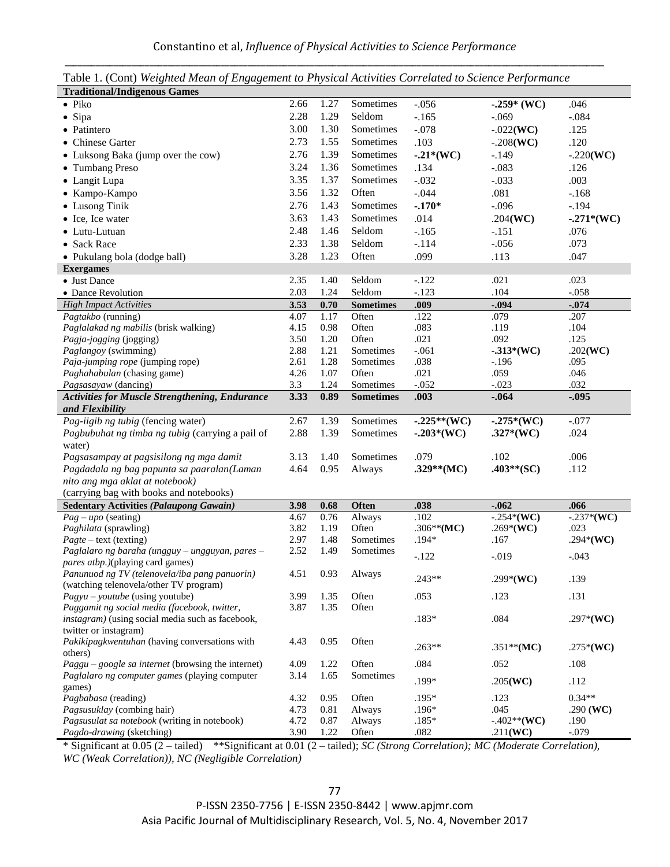| <b>Traditional/Indigenous Games</b>                                           | $\ldots$ , $\ldots$ , $\ldots$ , $\ldots$ , $\ldots$ , $\ldots$ , $\ldots$ , $\ldots$ , $\ldots$ , $\ldots$ , $\ldots$ , $\ldots$ , $\ldots$ , $\ldots$ , $\ldots$ , $\ldots$ , $\ldots$ , $\ldots$ , $\ldots$ , $\ldots$ , $\ldots$ , $\ldots$ , $\ldots$ , $\ldots$ , $\ldots$ , $\ldots$ , $\ldots$ , $\ldots$ , $\ldots$ , $\ldots$ , $\ldots$ , $\ldots$ |              |                  |               |                     |              |
|-------------------------------------------------------------------------------|---------------------------------------------------------------------------------------------------------------------------------------------------------------------------------------------------------------------------------------------------------------------------------------------------------------------------------------------------------------|--------------|------------------|---------------|---------------------|--------------|
| $\bullet$ Piko                                                                | 2.66                                                                                                                                                                                                                                                                                                                                                          | 1.27         | Sometimes        | $-.056$       | $-.259*$ (WC)       | .046         |
| · Sipa                                                                        | 2.28                                                                                                                                                                                                                                                                                                                                                          | 1.29         | Seldom           | $-.165$       | $-.069$             | $-.084$      |
| • Patintero                                                                   | 3.00                                                                                                                                                                                                                                                                                                                                                          | 1.30         | Sometimes        | $-.078$       | $-.022(WC)$         | .125         |
| • Chinese Garter                                                              | 2.73                                                                                                                                                                                                                                                                                                                                                          | 1.55         | Sometimes        | .103          | $-.208(WC)$         | .120         |
| • Luksong Baka (jump over the cow)                                            | 2.76                                                                                                                                                                                                                                                                                                                                                          | 1.39         | Sometimes        | $-0.21*(WC)$  | $-.149$             | $-.220(WC)$  |
| • Tumbang Preso                                                               | 3.24                                                                                                                                                                                                                                                                                                                                                          | 1.36         | Sometimes        | .134          | $-.083$             | .126         |
|                                                                               | 3.35                                                                                                                                                                                                                                                                                                                                                          | 1.37         | Sometimes        | $-.032$       |                     |              |
| • Langit Lupa                                                                 |                                                                                                                                                                                                                                                                                                                                                               |              |                  |               | $-.033$             | .003         |
| • Kampo-Kampo                                                                 | 3.56                                                                                                                                                                                                                                                                                                                                                          | 1.32         | Often            | $-.044$       | .081                | $-.168$      |
| • Lusong Tinik                                                                | 2.76                                                                                                                                                                                                                                                                                                                                                          | 1.43         | Sometimes        | $-.170*$      | $-.096$             | $-.194$      |
| • Ice, Ice water                                                              | 3.63                                                                                                                                                                                                                                                                                                                                                          | 1.43         | Sometimes        | .014          | .204(WC)            | $-.271*(WC)$ |
| • Lutu-Lutuan                                                                 | 2.48                                                                                                                                                                                                                                                                                                                                                          | 1.46         | Seldom           | $-.165$       | $-.151$             | .076         |
| • Sack Race                                                                   | 2.33                                                                                                                                                                                                                                                                                                                                                          | 1.38         | Seldom           | $-.114$       | $-.056$             | .073         |
| • Pukulang bola (dodge ball)                                                  | 3.28                                                                                                                                                                                                                                                                                                                                                          | 1.23         | Often            | .099          | .113                | .047         |
| <b>Exergames</b>                                                              |                                                                                                                                                                                                                                                                                                                                                               |              |                  |               |                     |              |
| • Just Dance                                                                  | 2.35                                                                                                                                                                                                                                                                                                                                                          | 1.40         | Seldom           | $-.122$       | .021                | .023         |
| • Dance Revolution                                                            | 2.03                                                                                                                                                                                                                                                                                                                                                          | 1.24         | Seldom           | $-.123$       | .104                | $-.058$      |
| <b>High Impact Activities</b>                                                 | 3.53                                                                                                                                                                                                                                                                                                                                                          | 0.70         | <b>Sometimes</b> | .009          | $-.094$             | $-.074$      |
| Pagtakbo (running)                                                            | 4.07                                                                                                                                                                                                                                                                                                                                                          | 1.17         | Often            | .122          | .079                | .207         |
| Paglalakad ng mabilis (brisk walking)                                         | 4.15                                                                                                                                                                                                                                                                                                                                                          | 0.98         | Often            | .083          | .119                | .104         |
| Pagja-jogging (jogging)                                                       | 3.50                                                                                                                                                                                                                                                                                                                                                          | 1.20         | Often            | .021          | .092                | .125         |
| Paglangoy (swimming)                                                          | 2.88                                                                                                                                                                                                                                                                                                                                                          | 1.21         | Sometimes        | $-.061$       | $-.313*(WC)$        | $.202$ (WC)  |
| Paja-jumping rope (jumping rope)                                              | 2.61                                                                                                                                                                                                                                                                                                                                                          | 1.28         | Sometimes        | .038          | $-196$              | .095         |
| Paghahabulan (chasing game)                                                   | 4.26                                                                                                                                                                                                                                                                                                                                                          | 1.07         | Often            | .021          | .059                | .046         |
| Pagsasayaw (dancing)                                                          | 3.3                                                                                                                                                                                                                                                                                                                                                           | 1.24         | Sometimes        | $-.052$       | $-.023$             | .032         |
| <b>Activities for Muscle Strengthening, Endurance</b>                         | 3.33                                                                                                                                                                                                                                                                                                                                                          | 0.89         | <b>Sometimes</b> | .003          | $-.064$             | $-.095$      |
| and Flexibility<br>Pag-iigib ng tubig (fencing water)                         | 2.67                                                                                                                                                                                                                                                                                                                                                          | 1.39         | Sometimes        | $-.225**(WC)$ |                     | $-.077$      |
| Pagbubuhat ng timba ng tubig (carrying a pail of                              | 2.88                                                                                                                                                                                                                                                                                                                                                          | 1.39         | Sometimes        |               | $-.275*(WC)$        | .024         |
|                                                                               |                                                                                                                                                                                                                                                                                                                                                               |              |                  | $-.203*(WC)$  | $.327*(WC)$         |              |
| water)                                                                        | 3.13                                                                                                                                                                                                                                                                                                                                                          | 1.40         | Sometimes        | .079          | .102                | .006         |
| Pagsasampay at pagsisilong ng mga damit                                       | 4.64                                                                                                                                                                                                                                                                                                                                                          |              |                  | $.329**$ (MC) | $.403**$ (SC)       | .112         |
| Pagdadala ng bag papunta sa paaralan(Laman<br>nito ang mga aklat at notebook) |                                                                                                                                                                                                                                                                                                                                                               | 0.95         | Always           |               |                     |              |
| (carrying bag with books and notebooks)                                       |                                                                                                                                                                                                                                                                                                                                                               |              |                  |               |                     |              |
| <b>Sedentary Activities (Palaupong Gawain)</b>                                | 3.98                                                                                                                                                                                                                                                                                                                                                          | 0.68         | Often            | .038          | $-.062$             | .066         |
| $Pag - upo$ (seating)                                                         | 4.67                                                                                                                                                                                                                                                                                                                                                          | 0.76         | Always           | .102          | $-.254*(WC)$        | $-.237*(WC)$ |
| Paghilata (sprawling)                                                         | 3.82                                                                                                                                                                                                                                                                                                                                                          | 1.19         | Often            | .306**(MC)    | .269*(WC)           | .023         |
| $Page - text (testing)$                                                       | 2.97                                                                                                                                                                                                                                                                                                                                                          | 1.48         | Sometimes        | $.194*$       | .167                | $.294*(WC)$  |
| Paglalaro ng baraha (ungguy - ungguyan, pares -                               | 2.52                                                                                                                                                                                                                                                                                                                                                          | 1.49         | Sometimes        |               |                     |              |
| <i>pares atbp.)</i> (playing card games)                                      |                                                                                                                                                                                                                                                                                                                                                               |              |                  | $-.122$       | $-0.019$            | $-.043$      |
| Panunuod ng TV (telenovela/iba pang panuorin)                                 |                                                                                                                                                                                                                                                                                                                                                               | 4.51 0.93    | Always           |               |                     |              |
| (watching telenovela/other TV program)                                        |                                                                                                                                                                                                                                                                                                                                                               |              |                  | .243**        | $.299*(WC)$         | .139         |
| $Payu$ – <i>youtube</i> (using youtube)                                       | 3.99                                                                                                                                                                                                                                                                                                                                                          | 1.35         | Often            | .053          | .123                | .131         |
| Paggamit ng social media (facebook, twitter,                                  | 3.87                                                                                                                                                                                                                                                                                                                                                          | 1.35         | Often            |               |                     |              |
| instagram) (using social media such as facebook,                              |                                                                                                                                                                                                                                                                                                                                                               |              |                  | $.183*$       | .084                | .297*(WC)    |
| twitter or instagram)                                                         |                                                                                                                                                                                                                                                                                                                                                               |              |                  |               |                     |              |
| Pakikipagkwentuhan (having conversations with                                 | 4.43                                                                                                                                                                                                                                                                                                                                                          | 0.95         | Often            | $.263**$      | .351**(MC)          | $.275*(WC)$  |
| others)                                                                       |                                                                                                                                                                                                                                                                                                                                                               |              |                  |               |                     |              |
| $Page - Google$ sa internet (browsing the internet)                           | 4.09                                                                                                                                                                                                                                                                                                                                                          | 1.22         | Often            | .084          | .052                | .108         |
| Paglalaro ng computer games (playing computer                                 | 3.14                                                                                                                                                                                                                                                                                                                                                          | 1.65         | Sometimes        | .199*         | .205(WC)            | .112         |
| games)<br>Pagbabasa (reading)                                                 |                                                                                                                                                                                                                                                                                                                                                               |              |                  | $.195*$       |                     | $0.34**$     |
| Pagsusuklay (combing hair)                                                    | 4.32<br>4.73                                                                                                                                                                                                                                                                                                                                                  | 0.95<br>0.81 | Often<br>Always  | $.196*$       | .123<br>.045        | .290 (WC)    |
| Pagsusulat sa notebook (writing in notebook)                                  | 4.72                                                                                                                                                                                                                                                                                                                                                          | 0.87         | Always           | $.185*$       | $-.402**({\bf W}C)$ | .190         |
| Pagdo-drawing (sketching)                                                     | 3.90                                                                                                                                                                                                                                                                                                                                                          | 1.22         | Often            | .082          | .211(WC)            | $-.079$      |

Table 1. (Cont) *Weighted Mean of Engagement to Physical Activities Correlated to Science Performance*

\* Significant at 0.05 (2 – tailed) \*\*Significant at 0.01 (2 – tailed); *SC (Strong Correlation); MC (Moderate Correlation), WC (Weak Correlation)), NC (Negligible Correlation)*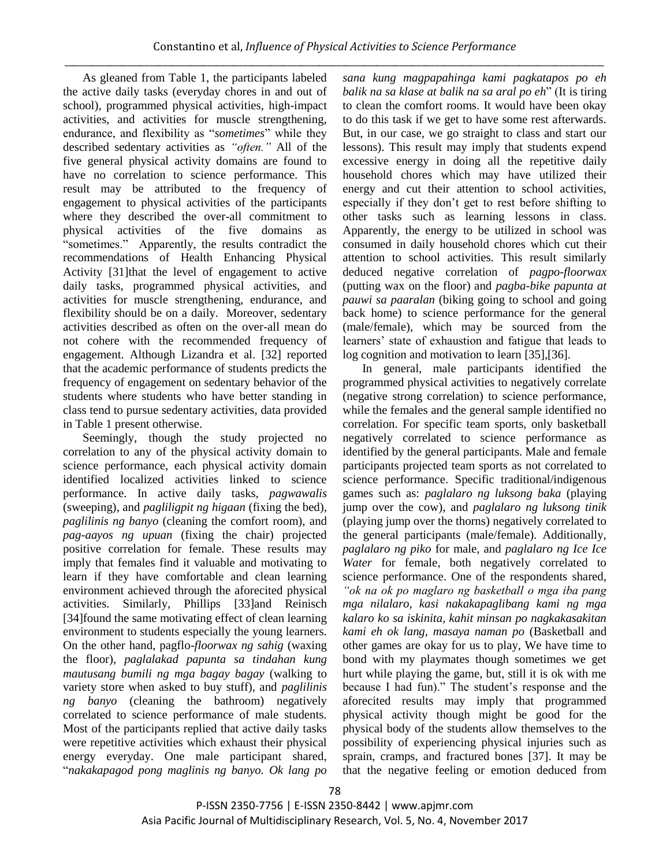As gleaned from Table 1, the participants labeled the active daily tasks (everyday chores in and out of school), programmed physical activities, high-impact activities, and activities for muscle strengthening, endurance, and flexibility as "sometimes" while they described sedentary activities as *"often."* All of the five general physical activity domains are found to have no correlation to science performance. This result may be attributed to the frequency of engagement to physical activities of the participants where they described the over-all commitment to physical activities of the five domains as ―sometimes.‖ Apparently, the results contradict the recommendations of Health Enhancing Physical Activity [31]that the level of engagement to active daily tasks, programmed physical activities, and activities for muscle strengthening, endurance, and flexibility should be on a daily. Moreover, sedentary activities described as often on the over-all mean do not cohere with the recommended frequency of engagement. Although Lizandra et al. [32] reported that the academic performance of students predicts the frequency of engagement on sedentary behavior of the students where students who have better standing in class tend to pursue sedentary activities, data provided in Table 1 present otherwise.

Seemingly, though the study projected no correlation to any of the physical activity domain to science performance, each physical activity domain identified localized activities linked to science performance. In active daily tasks, *pagwawalis* (sweeping), and *pagliligpit ng higaan* (fixing the bed), *paglilinis ng banyo* (cleaning the comfort room), and *pag-aayos ng upuan* (fixing the chair) projected positive correlation for female. These results may imply that females find it valuable and motivating to learn if they have comfortable and clean learning environment achieved through the aforecited physical activities. Similarly, Phillips [33]and Reinisch [34]found the same motivating effect of clean learning environment to students especially the young learners. On the other hand, pagflo-*floorwax ng sahig* (waxing the floor), *paglalakad papunta sa tindahan kung mautusang bumili ng mga bagay bagay* (walking to variety store when asked to buy stuff), and *paglilinis ng banyo* (cleaning the bathroom) negatively correlated to science performance of male students. Most of the participants replied that active daily tasks were repetitive activities which exhaust their physical energy everyday. One male participant shared, ―*nakakapagod pong maglinis ng banyo. Ok lang po*  *sana kung magpapahinga kami pagkatapos po eh balik na sa klase at balik na sa aral po eh*" (It is tiring to clean the comfort rooms. It would have been okay to do this task if we get to have some rest afterwards. But, in our case, we go straight to class and start our lessons). This result may imply that students expend excessive energy in doing all the repetitive daily household chores which may have utilized their energy and cut their attention to school activities, especially if they don't get to rest before shifting to other tasks such as learning lessons in class. Apparently, the energy to be utilized in school was consumed in daily household chores which cut their attention to school activities. This result similarly deduced negative correlation of *pagpo-floorwax*  (putting wax on the floor) and *pagba-bike papunta at pauwi sa paaralan* (biking going to school and going back home) to science performance for the general (male/female), which may be sourced from the learners' state of exhaustion and fatigue that leads to log cognition and motivation to learn [35],[36].

In general, male participants identified the programmed physical activities to negatively correlate (negative strong correlation) to science performance, while the females and the general sample identified no correlation. For specific team sports, only basketball negatively correlated to science performance as identified by the general participants. Male and female participants projected team sports as not correlated to science performance. Specific traditional/indigenous games such as: *paglalaro ng luksong baka* (playing jump over the cow), and *paglalaro ng luksong tinik*  (playing jump over the thorns) negatively correlated to the general participants (male/female). Additionally, *paglalaro ng piko* for male, and *paglalaro ng Ice Ice Water* for female, both negatively correlated to science performance. One of the respondents shared, *"ok na ok po maglaro ng basketball o mga iba pang mga nilalaro, kasi nakakapaglibang kami ng mga kalaro ko sa iskinita, kahit minsan po nagkakasakitan kami eh ok lang, masaya naman po* (Basketball and other games are okay for us to play, We have time to bond with my playmates though sometimes we get hurt while playing the game, but, still it is ok with me because I had fun)." The student's response and the aforecited results may imply that programmed physical activity though might be good for the physical body of the students allow themselves to the possibility of experiencing physical injuries such as sprain, cramps, and fractured bones [37]. It may be that the negative feeling or emotion deduced from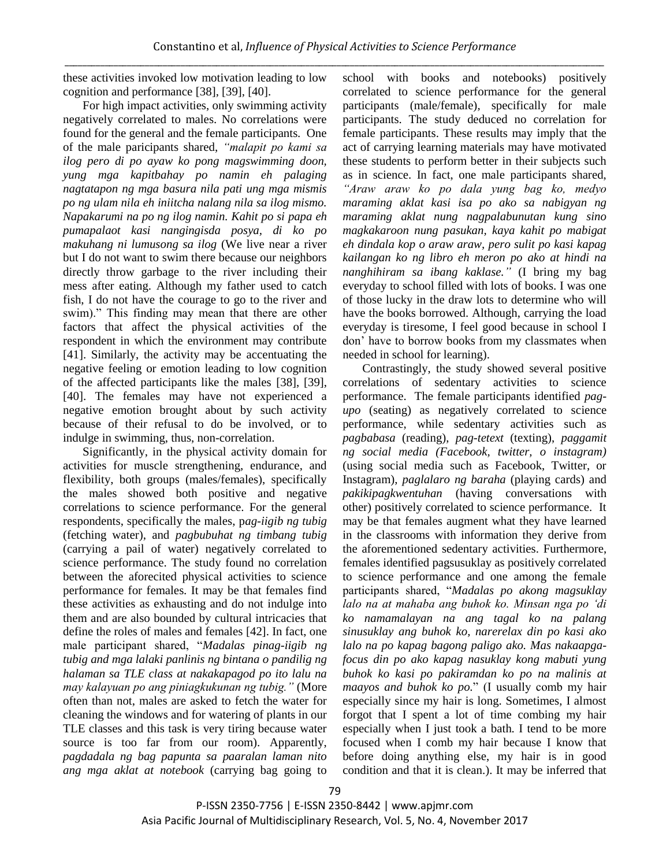these activities invoked low motivation leading to low cognition and performance [38], [39], [40].

For high impact activities, only swimming activity negatively correlated to males. No correlations were found for the general and the female participants. One of the male paricipants shared, *"malapit po kami sa ilog pero di po ayaw ko pong magswimming doon, yung mga kapitbahay po namin eh palaging nagtatapon ng mga basura nila pati ung mga mismis po ng ulam nila eh iniitcha nalang nila sa ilog mismo. Napakarumi na po ng ilog namin. Kahit po si papa eh pumapalaot kasi nangingisda posya, di ko po makuhang ni lumusong sa ilog* (We live near a river but I do not want to swim there because our neighbors directly throw garbage to the river including their mess after eating. Although my father used to catch fish, I do not have the courage to go to the river and swim)." This finding may mean that there are other factors that affect the physical activities of the respondent in which the environment may contribute [41]. Similarly, the activity may be accentuating the negative feeling or emotion leading to low cognition of the affected participants like the males [38], [39], [40]. The females may have not experienced a negative emotion brought about by such activity because of their refusal to do be involved, or to indulge in swimming, thus, non-correlation.

Significantly, in the physical activity domain for activities for muscle strengthening, endurance, and flexibility, both groups (males/females), specifically the males showed both positive and negative correlations to science performance. For the general respondents, specifically the males, p*ag-iigib ng tubig* (fetching water), and *pagbubuhat ng timbang tubig* (carrying a pail of water) negatively correlated to science performance. The study found no correlation between the aforecited physical activities to science performance for females. It may be that females find these activities as exhausting and do not indulge into them and are also bounded by cultural intricacies that define the roles of males and females [42]. In fact, one male participant shared, "Madalas pinag-iigib ng *tubig and mga lalaki panlinis ng bintana o pandilig ng halaman sa TLE class at nakakapagod po ito lalu na may kalayuan po ang piniagkukunan ng tubig."* (More often than not, males are asked to fetch the water for cleaning the windows and for watering of plants in our TLE classes and this task is very tiring because water source is too far from our room). Apparently, *pagdadala ng bag papunta sa paaralan laman nito ang mga aklat at notebook* (carrying bag going to

school with books and notebooks) positively correlated to science performance for the general participants (male/female), specifically for male participants. The study deduced no correlation for female participants. These results may imply that the act of carrying learning materials may have motivated these students to perform better in their subjects such as in science. In fact, one male participants shared, *"Araw araw ko po dala yung bag ko, medyo maraming aklat kasi isa po ako sa nabigyan ng maraming aklat nung nagpalabunutan kung sino magkakaroon nung pasukan, kaya kahit po mabigat eh dindala kop o araw araw, pero sulit po kasi kapag kailangan ko ng libro eh meron po ako at hindi na nanghihiram sa ibang kaklase."* (I bring my bag everyday to school filled with lots of books. I was one of those lucky in the draw lots to determine who will have the books borrowed. Although, carrying the load everyday is tiresome, I feel good because in school I don' have to borrow books from my classmates when needed in school for learning).

Contrastingly, the study showed several positive correlations of sedentary activities to science performance. The female participants identified *pagupo* (seating) as negatively correlated to science performance, while sedentary activities such as *pagbabasa* (reading), *pag-tetext* (texting), *paggamit ng social media (Facebook, twitter, o instagram)* (using social media such as Facebook, Twitter, or Instagram), *paglalaro ng baraha* (playing cards) and *pakikipagkwentuhan* (having conversations with other) positively correlated to science performance. It may be that females augment what they have learned in the classrooms with information they derive from the aforementioned sedentary activities. Furthermore, females identified pagsusuklay as positively correlated to science performance and one among the female participants shared, "Madalas po akong magsuklay *lalo na at mahaba ang buhok ko. Minsan nga po "di ko namamalayan na ang tagal ko na palang sinusuklay ang buhok ko, narerelax din po kasi ako lalo na po kapag bagong paligo ako. Mas nakaapgafocus din po ako kapag nasuklay kong mabuti yung buhok ko kasi po pakiramdan ko po na malinis at maayos and buhok ko po.*" (I usually comb my hair especially since my hair is long. Sometimes, I almost forgot that I spent a lot of time combing my hair especially when I just took a bath. I tend to be more focused when I comb my hair because I know that before doing anything else, my hair is in good condition and that it is clean.). It may be inferred that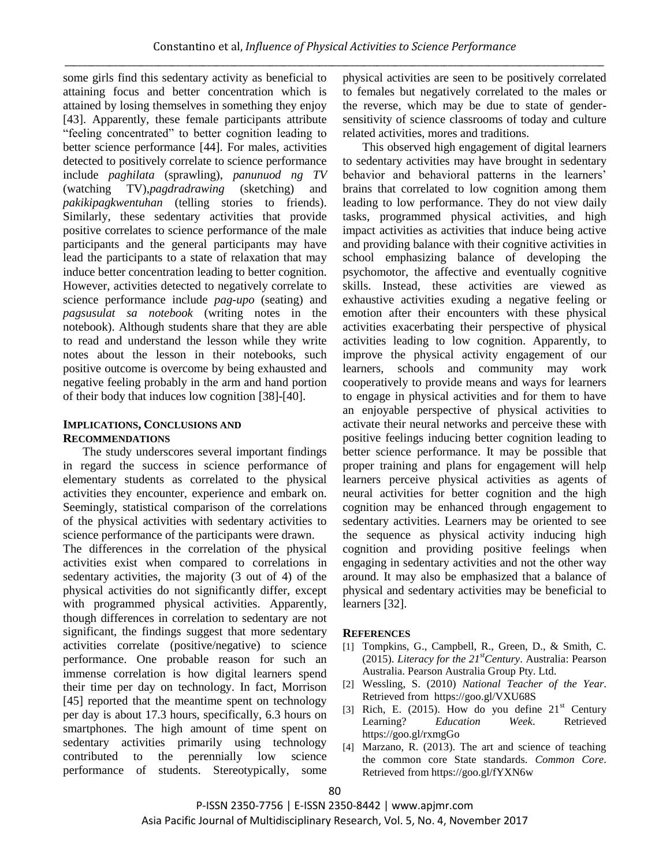some girls find this sedentary activity as beneficial to attaining focus and better concentration which is attained by losing themselves in something they enjoy [43]. Apparently, these female participants attribute "feeling concentrated" to better cognition leading to better science performance [44]. For males, activities detected to positively correlate to science performance include *paghilata* (sprawling), *panunuod ng TV* (watching TV),*pagdradrawing* (sketching) and *pakikipagkwentuhan* (telling stories to friends). Similarly, these sedentary activities that provide positive correlates to science performance of the male participants and the general participants may have lead the participants to a state of relaxation that may induce better concentration leading to better cognition. However, activities detected to negatively correlate to science performance include *pag-upo* (seating) and *pagsusulat sa notebook* (writing notes in the notebook). Although students share that they are able to read and understand the lesson while they write notes about the lesson in their notebooks, such positive outcome is overcome by being exhausted and negative feeling probably in the arm and hand portion of their body that induces low cognition [38]-[40].

### **IMPLICATIONS, CONCLUSIONS AND RECOMMENDATIONS**

The study underscores several important findings in regard the success in science performance of elementary students as correlated to the physical activities they encounter, experience and embark on. Seemingly, statistical comparison of the correlations of the physical activities with sedentary activities to science performance of the participants were drawn.

The differences in the correlation of the physical activities exist when compared to correlations in sedentary activities, the majority (3 out of 4) of the physical activities do not significantly differ, except with programmed physical activities. Apparently, though differences in correlation to sedentary are not significant, the findings suggest that more sedentary activities correlate (positive/negative) to science performance. One probable reason for such an immense correlation is how digital learners spend their time per day on technology. In fact, Morrison [45] reported that the meantime spent on technology per day is about 17.3 hours, specifically, 6.3 hours on smartphones. The high amount of time spent on sedentary activities primarily using technology contributed to the perennially low science performance of students. Stereotypically, some

physical activities are seen to be positively correlated to females but negatively correlated to the males or the reverse, which may be due to state of gendersensitivity of science classrooms of today and culture related activities, mores and traditions.

This observed high engagement of digital learners to sedentary activities may have brought in sedentary behavior and behavioral patterns in the learners' brains that correlated to low cognition among them leading to low performance. They do not view daily tasks, programmed physical activities, and high impact activities as activities that induce being active and providing balance with their cognitive activities in school emphasizing balance of developing the psychomotor, the affective and eventually cognitive skills. Instead, these activities are viewed as exhaustive activities exuding a negative feeling or emotion after their encounters with these physical activities exacerbating their perspective of physical activities leading to low cognition. Apparently, to improve the physical activity engagement of our learners, schools and community may work cooperatively to provide means and ways for learners to engage in physical activities and for them to have an enjoyable perspective of physical activities to activate their neural networks and perceive these with positive feelings inducing better cognition leading to better science performance. It may be possible that proper training and plans for engagement will help learners perceive physical activities as agents of neural activities for better cognition and the high cognition may be enhanced through engagement to sedentary activities. Learners may be oriented to see the sequence as physical activity inducing high cognition and providing positive feelings when engaging in sedentary activities and not the other way around. It may also be emphasized that a balance of physical and sedentary activities may be beneficial to learners [32].

#### **REFERENCES**

- [1] Tompkins, G., Campbell, R., Green, D., & Smith, C. (2015). *Literacy for the 21stCentury*. Australia: Pearson Australia. Pearson Australia Group Pty. Ltd.
- [2] Wessling, S. (2010) *National Teacher of the Year*. Retrieved from https://goo.gl/VXU68S
- [3] Rich, E. (2015). How do you define  $21<sup>st</sup>$  Century Learning? *Education Week*. Retrieved https://goo.gl/rxmgGo
- [4] Marzano, R. (2013). The art and science of teaching the common core State standards. *Common Core*. Retrieved from https://goo.gl/fYXN6w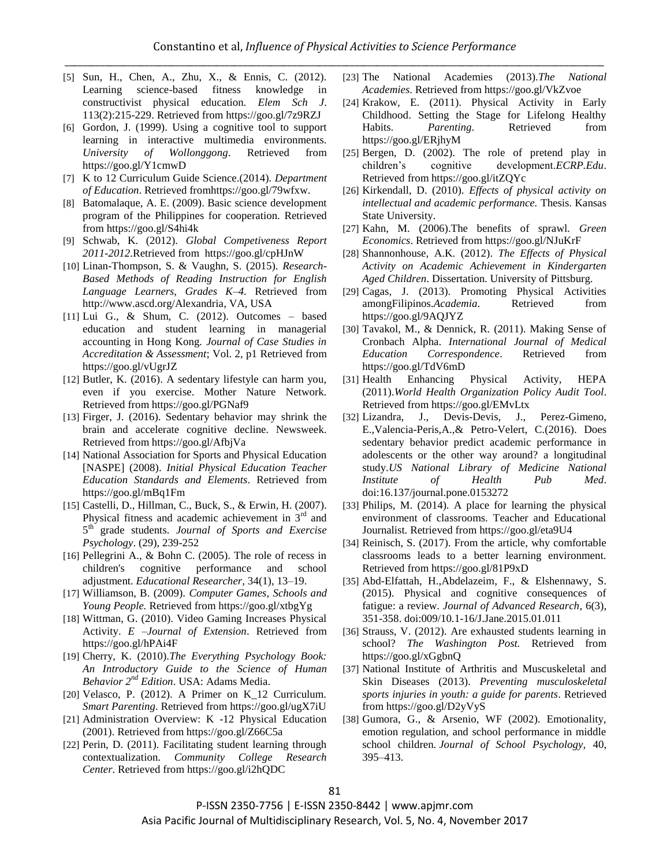- [5] Sun, H., Chen, A., Zhu, X., & Ennis, C. (2012). Learning science-based fitness knowledge in constructivist physical education. *Elem Sch J*. 113(2):215-229. Retrieved from https://goo.gl/7z9RZJ
- [6] Gordon, J. (1999). Using a cognitive tool to support learning in interactive multimedia environments. *University of Wollonggong*. Retrieved from https://goo.gl/Y1cmwD
- [7] K to 12 Curriculum Guide Science.(2014). *Department of Education*. Retrieved fromhttps://goo.gl/79wfxw.
- [8] Batomalaque, A. E. (2009). Basic science development program of the Philippines for cooperation. Retrieved from https://goo.gl/S4hi4k
- [9] Schwab, K. (2012). *Global Competiveness Report 2011-2012*.Retrieved from https://goo.gl/cpHJnW
- [10] Linan-Thompson, S. & Vaughn, S. (2015). *Research-Based Methods of Reading Instruction for English Language Learners, Grades K–4.* Retrieved from [http://www.ascd.org/Alexandria,](http://www.ascd.org/Alexandria) VA, USA
- [11] Lui G., & Shum, C. (2012). Outcomes based education and student learning in managerial accounting in Hong Kong*. Journal of Case Studies in Accreditation & Assessment*; Vol. 2, p1 Retrieved from https://goo.gl/vUgrJZ
- [12] Butler, K. (2016). A sedentary lifestyle can harm you, even if you exercise. Mother Nature Network. Retrieved from https://goo.gl/PGNaf9
- [13] Firger, J. (2016). Sedentary behavior may shrink the brain and accelerate cognitive decline. Newsweek. Retrieved from https://goo.gl/AfbjVa
- [14] National Association for Sports and Physical Education [NASPE] (2008). *Initial Physical Education Teacher Education Standards and Elements*. Retrieved from https://goo.gl/mBq1Fm
- [15] Castelli, D., Hillman, C., Buck, S., & Erwin, H. (2007). Physical fitness and academic achievement in  $3<sup>rd</sup>$  and 5 th grade students. *Journal of Sports and Exercise Psychology*. (29), 239-252
- [16] Pellegrini A., & Bohn C. (2005). The role of recess in children's cognitive performance and school adjustment. *Educational Researcher*, 34(1), 13–19.
- [17] Williamson, B. (2009). *Computer Games, Schools and Young People.* Retrieved from https://goo.gl/xtbgYg
- [18] Wittman, G. (2010). Video Gaming Increases Physical Activity. *E –Journal of Extension*. Retrieved from https://goo.gl/hPAi4F
- [19] Cherry, K. (2010).*The Everything Psychology Book: An Introductory Guide to the Science of Human Behavior 2nd Edition*. USA: Adams Media.
- [20] Velasco, P. (2012). A Primer on K\_12 Curriculum. *Smart Parenting*. Retrieved from https://goo.gl/ugX7iU
- [21] Administration Overview: K -12 Physical Education (2001). Retrieved from https://goo.gl/Z66C5a
- [22] Perin, D. (2011). Facilitating student learning through contextualization. *Community College Research Center*. Retrieved from https://goo.gl/i2hQDC
- [23] The National Academies (2013).*The National Academies*. Retrieved from https://goo.gl/VkZvoe
- [24] Krakow, E. (2011). Physical Activity in Early Childhood. Setting the Stage for Lifelong Healthy Habits. *Parenting*. Retrieved from https://goo.gl/ERjhyM
- [25] Bergen, D. (2002). The role of pretend play in children's cognitive development.*ECRP.Edu*. Retrieved from https://goo.gl/itZQYc
- [26] Kirkendall, D. (2010). *Effects of physical activity on intellectual and academic performance.* Thesis. Kansas State University.
- [27] Kahn, M. (2006).The benefits of sprawl*. Green Economics*. Retrieved from https://goo.gl/NJuKrF
- [28] Shannonhouse, A.K. (2012). *The Effects of Physical Activity on Academic Achievement in Kindergarten Aged Children*. Dissertation. University of Pittsburg.
- [29] Cagas, J. (2013). Promoting Physical Activities amongFilipinos.*Academia*. Retrieved from https://goo.gl/9AQJYZ
- [30] Tavakol, M., & Dennick, R. (2011). Making Sense of Cronbach Alpha. *International Journal of Medical Education Correspondence*. Retrieved from https://goo.gl/TdV6mD
- [31] Health Enhancing Physical Activity, HEPA (2011).*World Health Organization Policy Audit Tool*. Retrieved from https://goo.gl/EMvLtx
- [32] Lizandra, J., Devis-Devis, J., Perez-Gimeno, E.,Valencia-Peris,A.,& Petro-Velert, C.(2016). Does sedentary behavior predict academic performance in adolescents or the other way around? a longitudinal study.*US National Library of Medicine National Institute of Health Pub Med*. doi:16.137/journal.pone.0153272
- [33] Philips, M. (2014). A place for learning the physical environment of classrooms. Teacher and Educational Journalist. Retrieved from https://goo.gl/eta9U4
- [34] Reinisch, S. (2017). From the article, why comfortable classrooms leads to a better learning environment. Retrieved from https://goo.gl/81P9xD
- [35] Abd-Elfattah, H.,Abdelazeim, F., & Elshennawy, S. (2015). Physical and cognitive consequences of fatigue: a review. *Journal of Advanced Research*, 6(3), 351-358. doi:009/10.1-16/J.Jane.2015.01.011
- [36] Strauss, V. (2012). Are exhausted students learning in school? *The Washington Post.* Retrieved from https://goo.gl/xGgbnQ
- [37] National Institute of Arthritis and Muscuskeletal and Skin Diseases (2013). *Preventing musculoskeletal sports injuries in youth: a guide for parents*. Retrieved from https://goo.gl/D2yVyS
- [38] Gumora, G., & Arsenio, WF (2002). Emotionality, emotion regulation, and school performance in middle school children. *Journal of School Psychology*, 40, 395–413.

P-ISSN 2350-7756 | E-ISSN 2350-8442 | www.apjmr.com